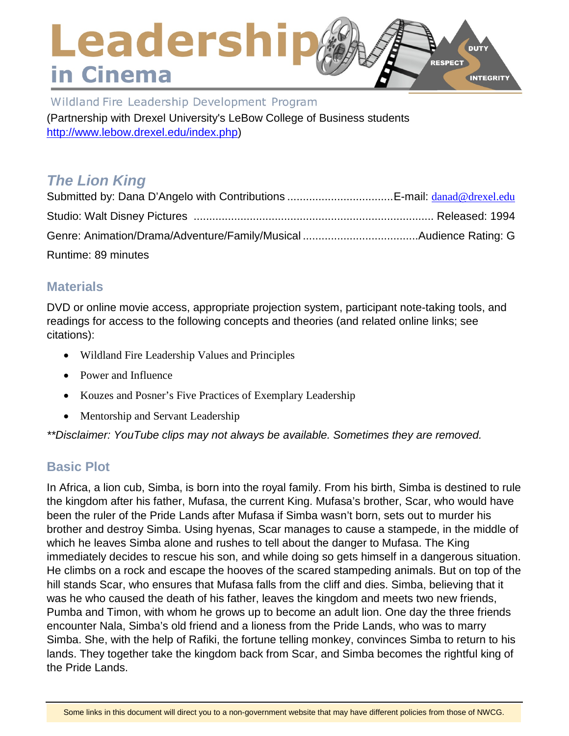### Leadership **DUTY** RESPECT in Cinema **INTEGRITY**

Wildland Fire Leadership Development Program (Partnership with Drexel University's LeBow College of Business students [http://www.lebow.drexel.edu/index.php\)](http://www.lebow.drexel.edu/index.php)

# *The Lion King*

| Runtime: 89 minutes |  |
|---------------------|--|

## **Materials**

DVD or online movie access, appropriate projection system, participant note-taking tools, and readings for access to the following concepts and theories (and related online links; see citations):

- Wildland Fire Leadership Values and Principles
- Power and Influence
- Kouzes and Posner's Five Practices of Exemplary Leadership
- Mentorship and Servant Leadership

*\*\*Disclaimer: YouTube clips may not always be available. Sometimes they are removed.*

## **Basic Plot**

In Africa, a lion cub, Simba, is born into the royal family. From his birth, Simba is destined to rule the kingdom after his father, Mufasa, the current King. Mufasa's brother, Scar, who would have been the ruler of the Pride Lands after Mufasa if Simba wasn't born, sets out to murder his brother and destroy Simba. Using hyenas, Scar manages to cause a stampede, in the middle of which he leaves Simba alone and rushes to tell about the danger to Mufasa. The King immediately decides to rescue his son, and while doing so gets himself in a dangerous situation. He climbs on a rock and escape the hooves of the scared stampeding animals. But on top of the hill stands Scar, who ensures that Mufasa falls from the cliff and dies. Simba, believing that it was he who caused the death of his father, leaves the kingdom and meets two new friends, Pumba and Timon, with whom he grows up to become an adult lion. One day the three friends encounter Nala, Simba's old friend and a lioness from the Pride Lands, who was to marry Simba. She, with the help of Rafiki, the fortune telling monkey, convinces Simba to return to his lands. They together take the kingdom back from Scar, and Simba becomes the rightful king of the Pride Lands.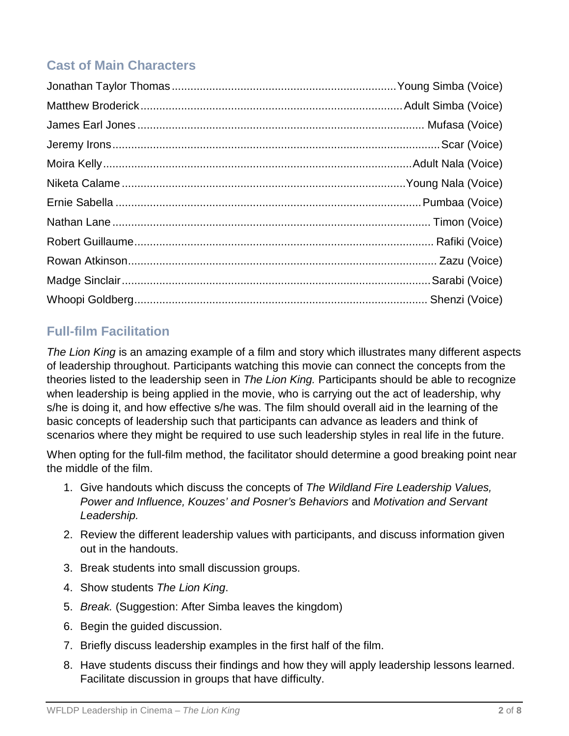## **Cast of Main Characters**

## **Full-film Facilitation**

*The Lion King* is an amazing example of a film and story which illustrates many different aspects of leadership throughout. Participants watching this movie can connect the concepts from the theories listed to the leadership seen in *The Lion King.* Participants should be able to recognize when leadership is being applied in the movie, who is carrying out the act of leadership, why s/he is doing it, and how effective s/he was. The film should overall aid in the learning of the basic concepts of leadership such that participants can advance as leaders and think of scenarios where they might be required to use such leadership styles in real life in the future.

When opting for the full-film method, the facilitator should determine a good breaking point near the middle of the film.

- 1. Give handouts which discuss the concepts of *The Wildland Fire Leadership Values, Power and Influence, Kouzes' and Posner's Behaviors* and *Motivation and Servant Leadership.*
- 2. Review the different leadership values with participants, and discuss information given out in the handouts.
- 3. Break students into small discussion groups.
- 4. Show students *The Lion King*.
- 5. *Break.* (Suggestion: After Simba leaves the kingdom)
- 6. Begin the guided discussion.
- 7. Briefly discuss leadership examples in the first half of the film.
- 8. Have students discuss their findings and how they will apply leadership lessons learned. Facilitate discussion in groups that have difficulty.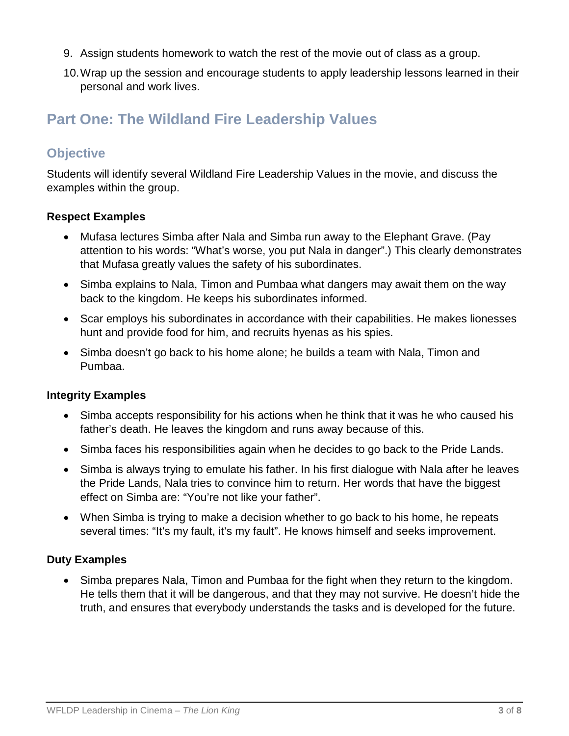- 9. Assign students homework to watch the rest of the movie out of class as a group.
- 10.Wrap up the session and encourage students to apply leadership lessons learned in their personal and work lives.

## **Part One: The Wildland Fire Leadership Values**

### **Objective**

Students will identify several Wildland Fire Leadership Values in the movie, and discuss the examples within the group.

#### **Respect Examples**

- Mufasa lectures Simba after Nala and Simba run away to the Elephant Grave. (Pay attention to his words: "What's worse, you put Nala in danger".) This clearly demonstrates that Mufasa greatly values the safety of his subordinates.
- Simba explains to Nala, Timon and Pumbaa what dangers may await them on the way back to the kingdom. He keeps his subordinates informed.
- Scar employs his subordinates in accordance with their capabilities. He makes lionesses hunt and provide food for him, and recruits hyenas as his spies.
- Simba doesn't go back to his home alone; he builds a team with Nala, Timon and Pumbaa.

#### **Integrity Examples**

- Simba accepts responsibility for his actions when he think that it was he who caused his father's death. He leaves the kingdom and runs away because of this.
- Simba faces his responsibilities again when he decides to go back to the Pride Lands.
- Simba is always trying to emulate his father. In his first dialogue with Nala after he leaves the Pride Lands, Nala tries to convince him to return. Her words that have the biggest effect on Simba are: "You're not like your father".
- When Simba is trying to make a decision whether to go back to his home, he repeats several times: "It's my fault, it's my fault". He knows himself and seeks improvement.

#### **Duty Examples**

• Simba prepares Nala, Timon and Pumbaa for the fight when they return to the kingdom. He tells them that it will be dangerous, and that they may not survive. He doesn't hide the truth, and ensures that everybody understands the tasks and is developed for the future.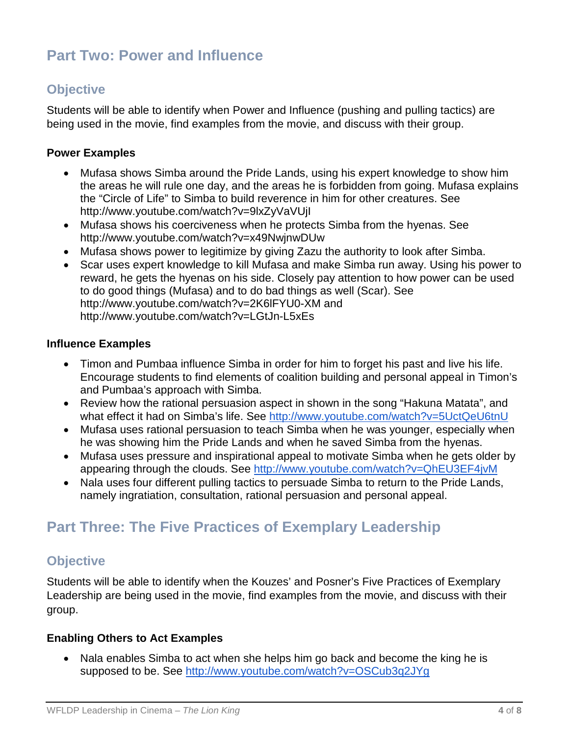# **Part Two: Power and Influence**

## **Objective**

Students will be able to identify when Power and Influence (pushing and pulling tactics) are being used in the movie, find examples from the movie, and discuss with their group.

#### **Power Examples**

- Mufasa shows Simba around the Pride Lands, using his expert knowledge to show him the areas he will rule one day, and the areas he is forbidden from going. Mufasa explains the "Circle of Life" to Simba to build reverence in him for other creatures. See <http://www.youtube.com/watch?v=9lxZyVaVUjI>
- Mufasa shows his coerciveness when he protects Simba from the hyenas. See <http://www.youtube.com/watch?v=x49NwjnwDUw>
- Mufasa shows power to legitimize by giving Zazu the authority to look after Simba.
- Scar uses expert knowledge to kill Mufasa and make Simba run away. Using his power to reward, he gets the hyenas on his side. Closely pay attention to how power can be used to do good things (Mufasa) and to do bad things as well (Scar). See <http://www.youtube.com/watch?v=2K6lFYU0-XM> and <http://www.youtube.com/watch?v=LGtJn-L5xEs>

#### **Influence Examples**

- Timon and Pumbaa influence Simba in order for him to forget his past and live his life. Encourage students to find elements of coalition building and personal appeal in Timon's and Pumbaa's approach with Simba.
- Review how the rational persuasion aspect in shown in the song "Hakuna Matata", and what effect it had on Simba's life. See<http://www.youtube.com/watch?v=5UctQeU6tnU>
- Mufasa uses rational persuasion to teach Simba when he was younger, especially when he was showing him the Pride Lands and when he saved Simba from the hyenas.
- Mufasa uses pressure and inspirational appeal to motivate Simba when he gets older by appearing through the clouds. See<http://www.youtube.com/watch?v=QhEU3EF4jvM>
- Nala uses four different pulling tactics to persuade Simba to return to the Pride Lands, namely ingratiation, consultation, rational persuasion and personal appeal.

## **Part Three: The Five Practices of Exemplary Leadership**

### **Objective**

Students will be able to identify when the Kouzes' and Posner's Five Practices of Exemplary Leadership are being used in the movie, find examples from the movie, and discuss with their group.

#### **Enabling Others to Act Examples**

• Nala enables Simba to act when she helps him go back and become the king he is supposed to be. See<http://www.youtube.com/watch?v=OSCub3q2JYg>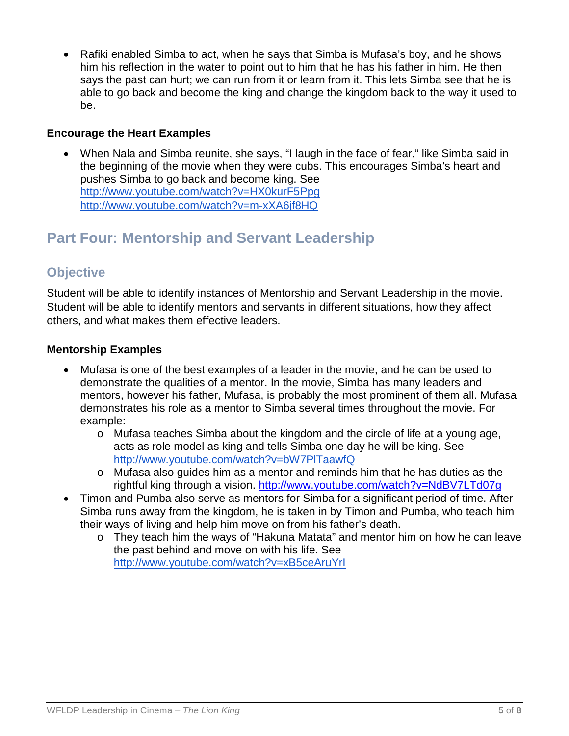• Rafiki enabled Simba to act, when he says that Simba is Mufasa's boy, and he shows him his reflection in the water to point out to him that he has his father in him. He then says the past can hurt; we can run from it or learn from it. This lets Simba see that he is able to go back and become the king and change the kingdom back to the way it used to be.

#### **Encourage the Heart Examples**

• When Nala and Simba reunite, she says, "I laugh in the face of fear," like Simba said in the beginning of the movie when they were cubs. This encourages Simba's heart and pushes Simba to go back and become king. See <http://www.youtube.com/watch?v=HX0kurF5Ppg> <http://www.youtube.com/watch?v=m-xXA6jf8HQ>

# **Part Four: Mentorship and Servant Leadership**

## **Objective**

Student will be able to identify instances of Mentorship and Servant Leadership in the movie. Student will be able to identify mentors and servants in different situations, how they affect others, and what makes them effective leaders.

#### **Mentorship Examples**

- Mufasa is one of the best examples of a leader in the movie, and he can be used to demonstrate the qualities of a mentor. In the movie, Simba has many leaders and mentors, however his father, Mufasa, is probably the most prominent of them all. Mufasa demonstrates his role as a mentor to Simba several times throughout the movie. For example:
	- o Mufasa teaches Simba about the kingdom and the circle of life at a young age, acts as role model as king and tells Simba one day he will be king. See <http://www.youtube.com/watch?v=bW7PlTaawfQ>
	- o Mufasa also guides him as a mentor and reminds him that he has duties as the rightful king through a vision.<http://www.youtube.com/watch?v=NdBV7LTd07g>
- Timon and Pumba also serve as mentors for Simba for a significant period of time. After Simba runs away from the kingdom, he is taken in by Timon and Pumba, who teach him their ways of living and help him move on from his father's death.
	- o They teach him the ways of "Hakuna Matata" and mentor him on how he can leave the past behind and move on with his life. See <http://www.youtube.com/watch?v=xB5ceAruYrI>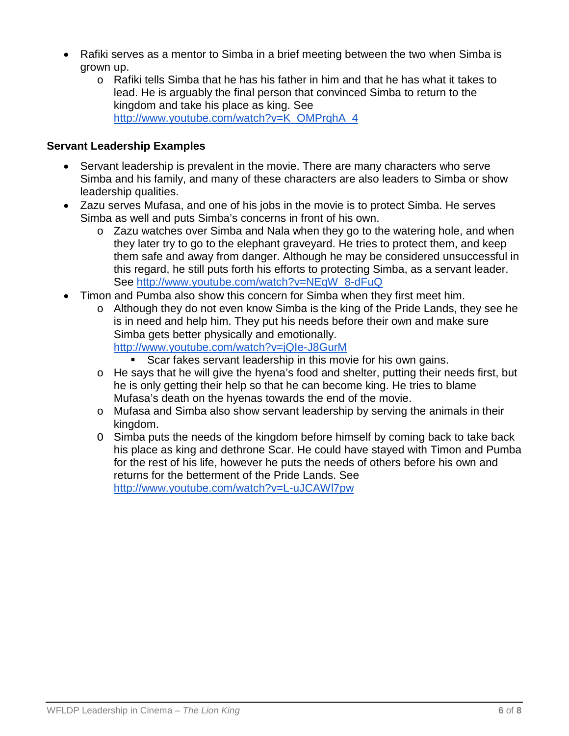- Rafiki serves as a mentor to Simba in a brief meeting between the two when Simba is grown up.
	- $\circ$  Rafiki tells Simba that he has his father in him and that he has what it takes to lead. He is arguably the final person that convinced Simba to return to the kingdom and take his place as king. See [http://www.youtube.com/watch?v=K\\_OMPrqhA\\_4](http://www.youtube.com/watch?v=K_OMPrqhA_4)

#### **Servant Leadership Examples**

- Servant leadership is prevalent in the movie. There are many characters who serve Simba and his family, and many of these characters are also leaders to Simba or show leadership qualities.
- Zazu serves Mufasa, and one of his jobs in the movie is to protect Simba. He serves Simba as well and puts Simba's concerns in front of his own.
	- o Zazu watches over Simba and Nala when they go to the watering hole, and when they later try to go to the elephant graveyard. He tries to protect them, and keep them safe and away from danger. Although he may be considered unsuccessful in this regard, he still puts forth his efforts to protecting Simba, as a servant leader. See [http://www.youtube.com/watch?v=NEqW\\_8-dFuQ](http://www.youtube.com/watch?v=NEqW_8-dFuQ)
- Timon and Pumba also show this concern for Simba when they first meet him.
	- o Although they do not even know Simba is the king of the Pride Lands, they see he is in need and help him. They put his needs before their own and make sure Simba gets better physically and emotionally. <http://www.youtube.com/watch?v=jQIe-J8GurM>
		- Scar fakes servant leadership in this movie for his own gains.
	- o He says that he will give the hyena's food and shelter, putting their needs first, but he is only getting their help so that he can become king. He tries to blame Mufasa's death on the hyenas towards the end of the movie.
	- o Mufasa and Simba also show servant leadership by serving the animals in their kingdom.
	- O Simba puts the needs of the kingdom before himself by coming back to take back his place as king and dethrone Scar. He could have stayed with Timon and Pumba for the rest of his life, however he puts the needs of others before his own and returns for the betterment of the Pride Lands. See <http://www.youtube.com/watch?v=L-uJCAWl7pw>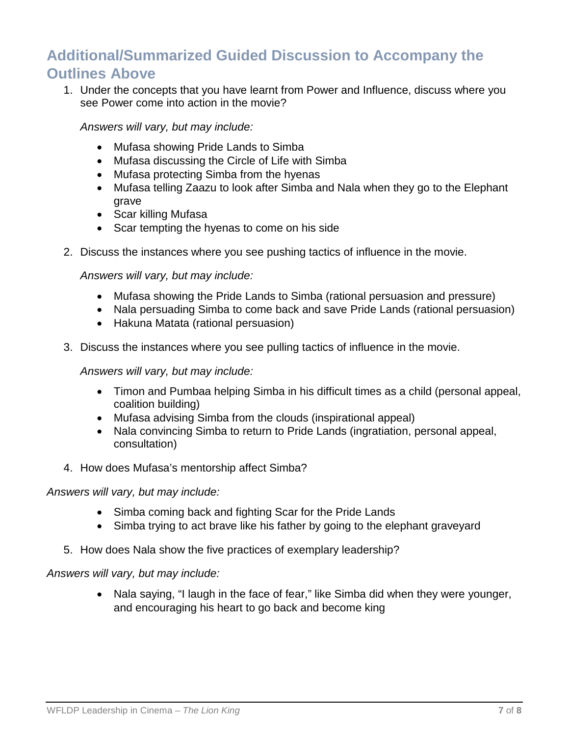# **Additional/Summarized Guided Discussion to Accompany the Outlines Above**

1. Under the concepts that you have learnt from Power and Influence, discuss where you see Power come into action in the movie?

*Answers will vary, but may include:*

- Mufasa showing Pride Lands to Simba
- Mufasa discussing the Circle of Life with Simba
- Mufasa protecting Simba from the hyenas
- Mufasa telling Zaazu to look after Simba and Nala when they go to the Elephant grave
- Scar killing Mufasa
- Scar tempting the hyenas to come on his side
- 2. Discuss the instances where you see pushing tactics of influence in the movie.

*Answers will vary, but may include:*

- Mufasa showing the Pride Lands to Simba (rational persuasion and pressure)
- Nala persuading Simba to come back and save Pride Lands (rational persuasion)
- Hakuna Matata (rational persuasion)
- 3. Discuss the instances where you see pulling tactics of influence in the movie.

*Answers will vary, but may include:*

- Timon and Pumbaa helping Simba in his difficult times as a child (personal appeal, coalition building)
- Mufasa advising Simba from the clouds (inspirational appeal)
- Nala convincing Simba to return to Pride Lands (ingratiation, personal appeal, consultation)
- 4. How does Mufasa's mentorship affect Simba?

#### *Answers will vary, but may include:*

- Simba coming back and fighting Scar for the Pride Lands
- Simba trying to act brave like his father by going to the elephant graveyard
- 5. How does Nala show the five practices of exemplary leadership?

*Answers will vary, but may include:*

• Nala saying, "I laugh in the face of fear," like Simba did when they were younger, and encouraging his heart to go back and become king